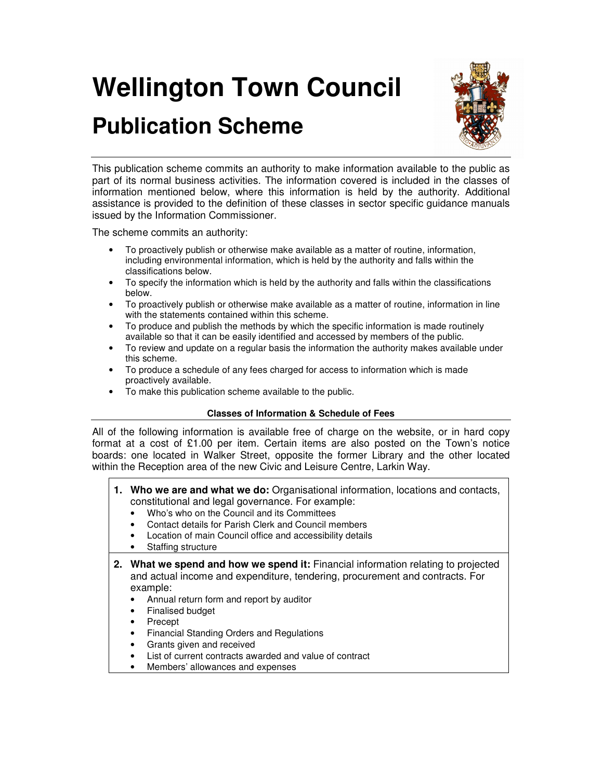# **Wellington Town Council**

# **Publication Scheme**



This publication scheme commits an authority to make information available to the public as part of its normal business activities. The information covered is included in the classes of information mentioned below, where this information is held by the authority. Additional assistance is provided to the definition of these classes in sector specific guidance manuals issued by the Information Commissioner.

The scheme commits an authority:

- To proactively publish or otherwise make available as a matter of routine, information, including environmental information, which is held by the authority and falls within the classifications below.
- To specify the information which is held by the authority and falls within the classifications below.
- To proactively publish or otherwise make available as a matter of routine, information in line with the statements contained within this scheme.
- To produce and publish the methods by which the specific information is made routinely available so that it can be easily identified and accessed by members of the public.
- To review and update on a regular basis the information the authority makes available under this scheme.
- To produce a schedule of any fees charged for access to information which is made proactively available.
- To make this publication scheme available to the public.

# **Classes of Information & Schedule of Fees**

All of the following information is available free of charge on the website, or in hard copy format at a cost of  $£1.00$  per item. Certain items are also posted on the Town's notice boards: one located in Walker Street, opposite the former Library and the other located within the Reception area of the new Civic and Leisure Centre, Larkin Way.

- **1. Who we are and what we do:** Organisational information, locations and contacts, constitutional and legal governance. For example:
	- Who's who on the Council and its Committees
	- Contact details for Parish Clerk and Council members
	- Location of main Council office and accessibility details
	- Staffing structure
- **2. What we spend and how we spend it:** Financial information relating to projected and actual income and expenditure, tendering, procurement and contracts. For example:
	- Annual return form and report by auditor
	- Finalised budget
	- Precept
	- Financial Standing Orders and Regulations
	- Grants given and received
	- List of current contracts awarded and value of contract
	- Members' allowances and expenses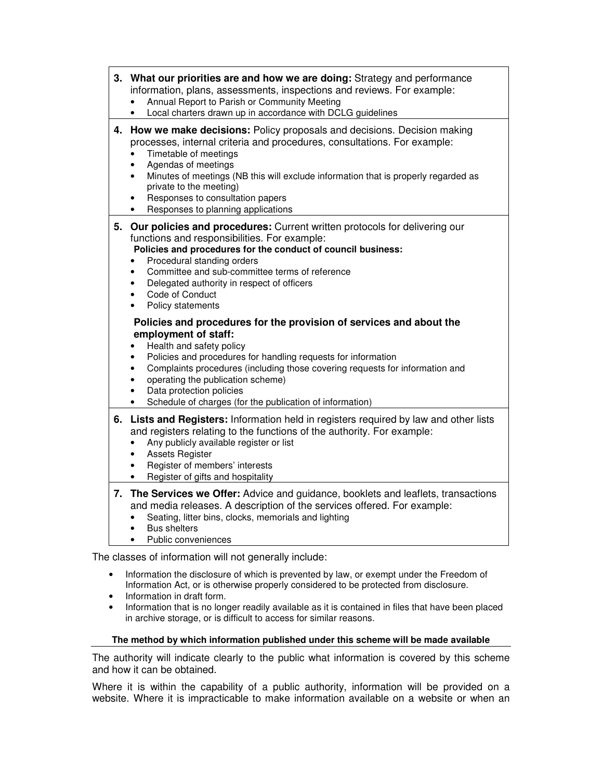- Information the disclosure of which is prevented by law, or exempt under the Freedom of Information Act, or is otherwise properly considered to be protected from disclosure.
- Information in draft form.
- Information that is no longer readily available as it is contained in files that have been placed in archive storage, or is difficult to access for similar reasons.

## **The method by which information published under this scheme will be made available**

The authority will indicate clearly to the public what information is covered by this scheme and how it can be obtained.

Where it is within the capability of a public authority, information will be provided on a website. Where it is impracticable to make information available on a website or when an